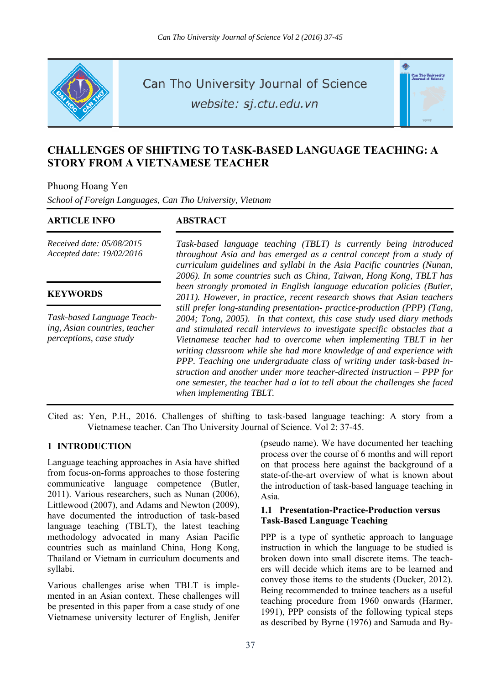

Can Tho University Journal of Science

website: sj.ctu.edu.vn



# **CHALLENGES OF SHIFTING TO TASK-BASED LANGUAGE TEACHING: A STORY FROM A VIETNAMESE TEACHER**

Phuong Hoang Yen

*School of Foreign Languages, Can Tho University, Vietnam* 

#### **ARTICLE INFO ABSTRACT**

*Received date: 05/08/2015 Accepted date: 19/02/2016*

#### **KEYWORDS**

*Task-based Language Teaching, Asian countries, teacher perceptions, case study* 

*Task-based language teaching (TBLT) is currently being introduced throughout Asia and has emerged as a central concept from a study of curriculum guidelines and syllabi in the Asia Pacific countries (Nunan, 2006). In some countries such as China, Taiwan, Hong Kong, TBLT has been strongly promoted in English language education policies (Butler, 2011). However, in practice, recent research shows that Asian teachers still prefer long-standing presentation- practice-production (PPP) (Tang, 2004; Tong, 2005). In that context, this case study used diary methods and stimulated recall interviews to investigate specific obstacles that a Vietnamese teacher had to overcome when implementing TBLT in her writing classroom while she had more knowledge of and experience with PPP. Teaching one undergraduate class of writing under task-based instruction and another under more teacher-directed instruction – PPP for one semester, the teacher had a lot to tell about the challenges she faced when implementing TBLT.* 

Cited as: Yen, P.H., 2016. Challenges of shifting to task-based language teaching: A story from a Vietnamese teacher. Can Tho University Journal of Science. Vol 2: 37-45.

## **1 INTRODUCTION**

Language teaching approaches in Asia have shifted from focus-on-forms approaches to those fostering communicative language competence (Butler, 2011). Various researchers, such as Nunan (2006), Littlewood (2007), and Adams and Newton (2009), have documented the introduction of task-based language teaching (TBLT), the latest teaching methodology advocated in many Asian Pacific countries such as mainland China, Hong Kong, Thailand or Vietnam in curriculum documents and syllabi.

Various challenges arise when TBLT is implemented in an Asian context. These challenges will be presented in this paper from a case study of one Vietnamese university lecturer of English, Jenifer (pseudo name). We have documented her teaching process over the course of 6 months and will report on that process here against the background of a state-of-the-art overview of what is known about the introduction of task-based language teaching in Asia.

#### **1.1 Presentation-Practice-Production versus Task-Based Language Teaching**

PPP is a type of synthetic approach to language instruction in which the language to be studied is broken down into small discrete items. The teachers will decide which items are to be learned and convey those items to the students (Ducker, 2012). Being recommended to trainee teachers as a useful teaching procedure from 1960 onwards (Harmer, 1991), PPP consists of the following typical steps as described by Byrne (1976) and Samuda and By-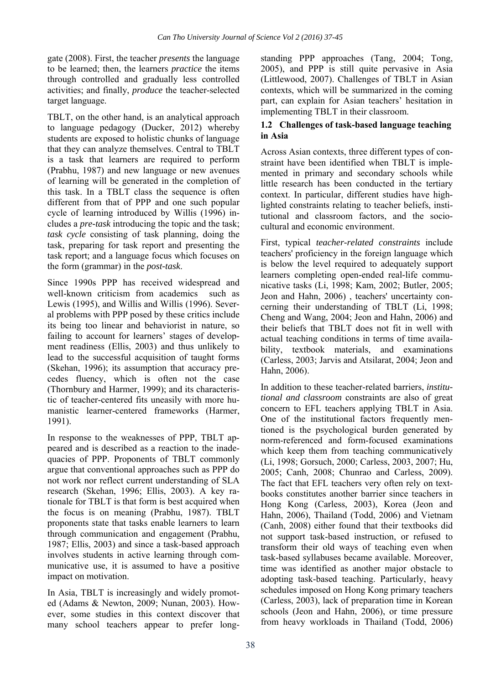gate (2008). First, the teacher *presents* the language to be learned; then, the learners *practice* the items through controlled and gradually less controlled activities; and finally, *produce* the teacher-selected target language.

TBLT, on the other hand, is an analytical approach to language pedagogy (Ducker, 2012) whereby students are exposed to holistic chunks of language that they can analyze themselves. Central to TBLT is a task that learners are required to perform (Prabhu, 1987) and new language or new avenues of learning will be generated in the completion of this task. In a TBLT class the sequence is often different from that of PPP and one such popular cycle of learning introduced by Willis (1996) includes a *pre-task* introducing the topic and the task; *task cycle* consisting of task planning, doing the task, preparing for task report and presenting the task report; and a language focus which focuses on the form (grammar) in the *post-task*.

Since 1990s PPP has received widespread and well-known criticism from academics such as Lewis (1995), and Willis and Willis (1996). Several problems with PPP posed by these critics include its being too linear and behaviorist in nature, so failing to account for learners' stages of development readiness (Ellis, 2003) and thus unlikely to lead to the successful acquisition of taught forms (Skehan, 1996); its assumption that accuracy precedes fluency, which is often not the case (Thornbury and Harmer, 1999); and its characteristic of teacher-centered fits uneasily with more humanistic learner-centered frameworks (Harmer, 1991).

In response to the weaknesses of PPP, TBLT appeared and is described as a reaction to the inadequacies of PPP. Proponents of TBLT commonly argue that conventional approaches such as PPP do not work nor reflect current understanding of SLA research (Skehan, 1996; Ellis, 2003). A key rationale for TBLT is that form is best acquired when the focus is on meaning (Prabhu, 1987). TBLT proponents state that tasks enable learners to learn through communication and engagement (Prabhu, 1987; Ellis, 2003) and since a task-based approach involves students in active learning through communicative use, it is assumed to have a positive impact on motivation.

In Asia, TBLT is increasingly and widely promoted (Adams & Newton, 2009; Nunan, 2003). However, some studies in this context discover that many school teachers appear to prefer longstanding PPP approaches (Tang, 2004; Tong, 2005), and PPP is still quite pervasive in Asia (Littlewood, 2007). Challenges of TBLT in Asian contexts, which will be summarized in the coming part, can explain for Asian teachers' hesitation in implementing TBLT in their classroom.

## **1.2 Challenges of task-based language teaching in Asia**

Across Asian contexts, three different types of constraint have been identified when TBLT is implemented in primary and secondary schools while little research has been conducted in the tertiary context. In particular, different studies have highlighted constraints relating to teacher beliefs, institutional and classroom factors, and the sociocultural and economic environment.

First, typical *teacher-related constraints* include teachers' proficiency in the foreign language which is below the level required to adequately support learners completing open-ended real-life communicative tasks (Li, 1998; Kam, 2002; Butler, 2005; Jeon and Hahn, 2006) , teachers' uncertainty concerning their understanding of TBLT (Li, 1998; Cheng and Wang, 2004; Jeon and Hahn, 2006) and their beliefs that TBLT does not fit in well with actual teaching conditions in terms of time availability, textbook materials, and examinations (Carless, 2003; Jarvis and Atsilarat, 2004; Jeon and Hahn, 2006).

In addition to these teacher-related barriers, *institutional and classroom* constraints are also of great concern to EFL teachers applying TBLT in Asia. One of the institutional factors frequently mentioned is the psychological burden generated by norm-referenced and form-focused examinations which keep them from teaching communicatively (Li, 1998; Gorsuch, 2000; Carless, 2003, 2007; Hu, 2005; Canh, 2008; Chunrao and Carless, 2009). The fact that EFL teachers very often rely on textbooks constitutes another barrier since teachers in Hong Kong (Carless, 2003), Korea (Jeon and Hahn, 2006), Thailand (Todd, 2006) and Vietnam (Canh, 2008) either found that their textbooks did not support task-based instruction, or refused to transform their old ways of teaching even when task-based syllabuses became available. Moreover, time was identified as another major obstacle to adopting task-based teaching. Particularly, heavy schedules imposed on Hong Kong primary teachers (Carless, 2003), lack of preparation time in Korean schools (Jeon and Hahn, 2006), or time pressure from heavy workloads in Thailand (Todd, 2006)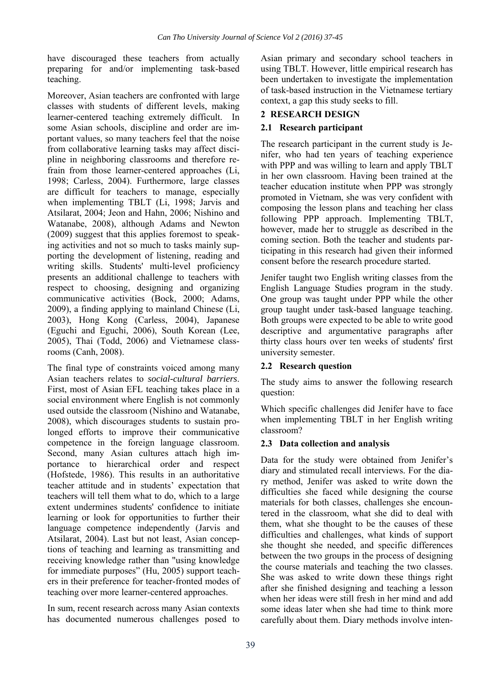have discouraged these teachers from actually preparing for and/or implementing task-based teaching.

Moreover, Asian teachers are confronted with large classes with students of different levels, making learner-centered teaching extremely difficult. In some Asian schools, discipline and order are important values, so many teachers feel that the noise from collaborative learning tasks may affect discipline in neighboring classrooms and therefore refrain from those learner-centered approaches (Li, 1998; Carless, 2004). Furthermore, large classes are difficult for teachers to manage, especially when implementing TBLT (Li, 1998; Jarvis and Atsilarat, 2004; Jeon and Hahn, 2006; Nishino and Watanabe, 2008), although Adams and Newton (2009) suggest that this applies foremost to speaking activities and not so much to tasks mainly supporting the development of listening, reading and writing skills. Students' multi-level proficiency presents an additional challenge to teachers with respect to choosing, designing and organizing communicative activities (Bock, 2000; Adams, 2009), a finding applying to mainland Chinese (Li, 2003), Hong Kong (Carless, 2004), Japanese (Eguchi and Eguchi, 2006), South Korean (Lee, 2005), Thai (Todd, 2006) and Vietnamese classrooms (Canh, 2008).

The final type of constraints voiced among many Asian teachers relates to *social-cultural barriers*. First, most of Asian EFL teaching takes place in a social environment where English is not commonly used outside the classroom (Nishino and Watanabe, 2008), which discourages students to sustain prolonged efforts to improve their communicative competence in the foreign language classroom. Second, many Asian cultures attach high importance to hierarchical order and respect (Hofstede, 1986). This results in an authoritative teacher attitude and in students' expectation that teachers will tell them what to do, which to a large extent undermines students' confidence to initiate learning or look for opportunities to further their language competence independently (Jarvis and Atsilarat, 2004). Last but not least, Asian conceptions of teaching and learning as transmitting and receiving knowledge rather than "using knowledge for immediate purposes" (Hu, 2005) support teachers in their preference for teacher-fronted modes of teaching over more learner-centered approaches.

In sum, recent research across many Asian contexts has documented numerous challenges posed to Asian primary and secondary school teachers in using TBLT. However, little empirical research has been undertaken to investigate the implementation of task-based instruction in the Vietnamese tertiary context, a gap this study seeks to fill.

# **2 RESEARCH DESIGN**

## **2.1 Research participant**

The research participant in the current study is Jenifer, who had ten years of teaching experience with PPP and was willing to learn and apply TBLT in her own classroom. Having been trained at the teacher education institute when PPP was strongly promoted in Vietnam, she was very confident with composing the lesson plans and teaching her class following PPP approach. Implementing TBLT, however, made her to struggle as described in the coming section. Both the teacher and students participating in this research had given their informed consent before the research procedure started.

Jenifer taught two English writing classes from the English Language Studies program in the study. One group was taught under PPP while the other group taught under task-based language teaching. Both groups were expected to be able to write good descriptive and argumentative paragraphs after thirty class hours over ten weeks of students' first university semester.

## **2.2 Research question**

The study aims to answer the following research question:

Which specific challenges did Jenifer have to face when implementing TBLT in her English writing classroom?

## **2.3 Data collection and analysis**

Data for the study were obtained from Jenifer's diary and stimulated recall interviews. For the diary method, Jenifer was asked to write down the difficulties she faced while designing the course materials for both classes, challenges she encountered in the classroom, what she did to deal with them, what she thought to be the causes of these difficulties and challenges, what kinds of support she thought she needed, and specific differences between the two groups in the process of designing the course materials and teaching the two classes. She was asked to write down these things right after she finished designing and teaching a lesson when her ideas were still fresh in her mind and add some ideas later when she had time to think more carefully about them. Diary methods involve inten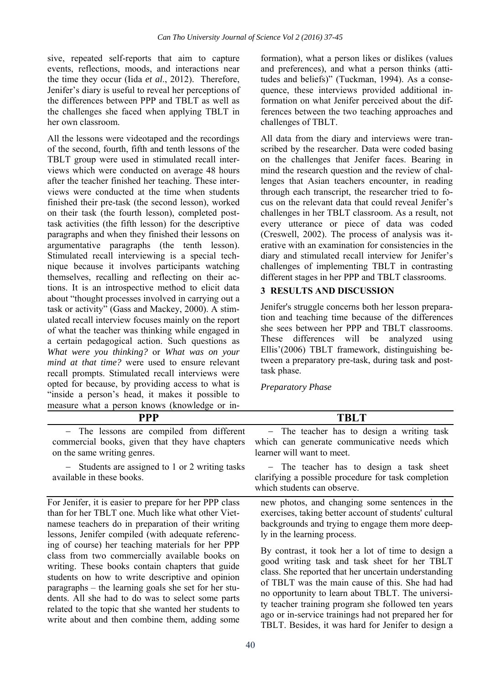sive, repeated self-reports that aim to capture events, reflections, moods, and interactions near the time they occur (Iida *et al*., 2012). Therefore, Jenifer's diary is useful to reveal her perceptions of the differences between PPP and TBLT as well as the challenges she faced when applying TBLT in her own classroom.

All the lessons were videotaped and the recordings of the second, fourth, fifth and tenth lessons of the TBLT group were used in stimulated recall interviews which were conducted on average 48 hours after the teacher finished her teaching. These interviews were conducted at the time when students finished their pre-task (the second lesson), worked on their task (the fourth lesson), completed posttask activities (the fifth lesson) for the descriptive paragraphs and when they finished their lessons on argumentative paragraphs (the tenth lesson). Stimulated recall interviewing is a special technique because it involves participants watching themselves, recalling and reflecting on their actions. It is an introspective method to elicit data about "thought processes involved in carrying out a task or activity" (Gass and Mackey, 2000). A stimulated recall interview focuses mainly on the report of what the teacher was thinking while engaged in a certain pedagogical action. Such questions as *What were you thinking?* or *What was on your mind at that time?* were used to ensure relevant recall prompts. Stimulated recall interviews were opted for because, by providing access to what is "inside a person's head, it makes it possible to measure what a person knows (knowledge or information), what a person likes or dislikes (values and preferences), and what a person thinks (attitudes and beliefs)" (Tuckman, 1994). As a consequence, these interviews provided additional information on what Jenifer perceived about the differences between the two teaching approaches and challenges of TBLT.

All data from the diary and interviews were transcribed by the researcher. Data were coded basing on the challenges that Jenifer faces. Bearing in mind the research question and the review of challenges that Asian teachers encounter, in reading through each transcript, the researcher tried to focus on the relevant data that could reveal Jenifer's challenges in her TBLT classroom. As a result, not every utterance or piece of data was coded (Creswell, 2002). The process of analysis was iterative with an examination for consistencies in the diary and stimulated recall interview for Jenifer's challenges of implementing TBLT in contrasting different stages in her PPP and TBLT classrooms.

## **3 RESULTS AND DISCUSSION**

Jenifer's struggle concerns both her lesson preparation and teaching time because of the differences she sees between her PPP and TBLT classrooms. These differences will be analyzed using Ellis'(2006) TBLT framework, distinguishing between a preparatory pre-task, during task and posttask phase.

*Preparatory Phase* 

| ilicasule what a person knows (knowledge of the                                                                                                                                                                                                                                                                                                                                                                                                                                                                                                                                                                                                               |                                                                                                                                                                                                                                                                                                                                                                                                                                                                                                                                                                                                                                        |
|---------------------------------------------------------------------------------------------------------------------------------------------------------------------------------------------------------------------------------------------------------------------------------------------------------------------------------------------------------------------------------------------------------------------------------------------------------------------------------------------------------------------------------------------------------------------------------------------------------------------------------------------------------------|----------------------------------------------------------------------------------------------------------------------------------------------------------------------------------------------------------------------------------------------------------------------------------------------------------------------------------------------------------------------------------------------------------------------------------------------------------------------------------------------------------------------------------------------------------------------------------------------------------------------------------------|
| <b>PPP</b>                                                                                                                                                                                                                                                                                                                                                                                                                                                                                                                                                                                                                                                    | TBLT                                                                                                                                                                                                                                                                                                                                                                                                                                                                                                                                                                                                                                   |
| - The lessons are compiled from different<br>commercial books, given that they have chapters<br>on the same writing genres.                                                                                                                                                                                                                                                                                                                                                                                                                                                                                                                                   | - The teacher has to design a writing task<br>which can generate communicative needs which<br>learner will want to meet.                                                                                                                                                                                                                                                                                                                                                                                                                                                                                                               |
| - Students are assigned to 1 or 2 writing tasks<br>available in these books.                                                                                                                                                                                                                                                                                                                                                                                                                                                                                                                                                                                  | - The teacher has to design a task sheet<br>clarifying a possible procedure for task completion<br>which students can observe.                                                                                                                                                                                                                                                                                                                                                                                                                                                                                                         |
| For Jenifer, it is easier to prepare for her PPP class<br>than for her TBLT one. Much like what other Viet-<br>namese teachers do in preparation of their writing<br>lessons, Jenifer compiled (with adequate referenc-<br>ing of course) her teaching materials for her PPP<br>class from two commercially available books on<br>writing. These books contain chapters that guide<br>students on how to write descriptive and opinion<br>paragraphs – the learning goals she set for her stu-<br>dents. All she had to do was to select some parts<br>related to the topic that she wanted her students to<br>write about and then combine them, adding some | new photos, and changing some sentences in the<br>exercises, taking better account of students' cultural<br>backgrounds and trying to engage them more deep-<br>ly in the learning process.<br>By contrast, it took her a lot of time to design a<br>good writing task and task sheet for her TBLT<br>class. She reported that her uncertain understanding<br>of TBLT was the main cause of this. She had had<br>no opportunity to learn about TBLT. The universi-<br>ty teacher training program she followed ten years<br>ago or in-service trainings had not prepared her for<br>TBLT. Besides, it was hard for Jenifer to design a |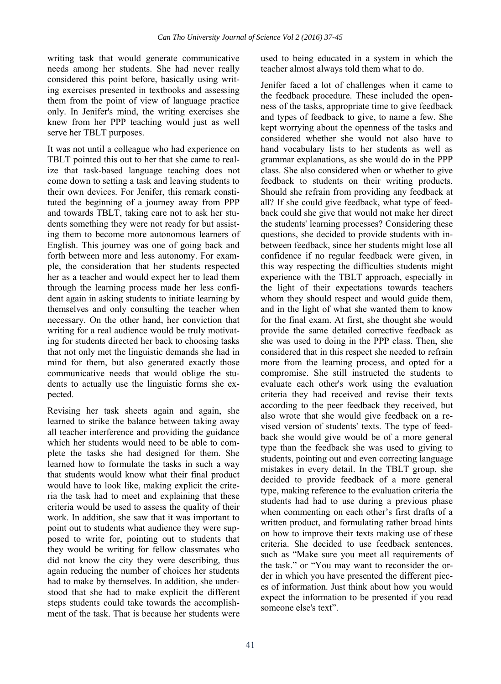writing task that would generate communicative needs among her students. She had never really considered this point before, basically using writing exercises presented in textbooks and assessing them from the point of view of language practice only. In Jenifer's mind, the writing exercises she knew from her PPP teaching would just as well serve her TBLT purposes.

It was not until a colleague who had experience on TBLT pointed this out to her that she came to realize that task-based language teaching does not come down to setting a task and leaving students to their own devices. For Jenifer, this remark constituted the beginning of a journey away from PPP and towards TBLT, taking care not to ask her students something they were not ready for but assisting them to become more autonomous learners of English. This journey was one of going back and forth between more and less autonomy. For example, the consideration that her students respected her as a teacher and would expect her to lead them through the learning process made her less confident again in asking students to initiate learning by themselves and only consulting the teacher when necessary. On the other hand, her conviction that writing for a real audience would be truly motivating for students directed her back to choosing tasks that not only met the linguistic demands she had in mind for them, but also generated exactly those communicative needs that would oblige the students to actually use the linguistic forms she expected.

Revising her task sheets again and again, she learned to strike the balance between taking away all teacher interference and providing the guidance which her students would need to be able to complete the tasks she had designed for them. She learned how to formulate the tasks in such a way that students would know what their final product would have to look like, making explicit the criteria the task had to meet and explaining that these criteria would be used to assess the quality of their work. In addition, she saw that it was important to point out to students what audience they were supposed to write for, pointing out to students that they would be writing for fellow classmates who did not know the city they were describing, thus again reducing the number of choices her students had to make by themselves. In addition, she understood that she had to make explicit the different steps students could take towards the accomplishment of the task. That is because her students were

41

used to being educated in a system in which the teacher almost always told them what to do.

Jenifer faced a lot of challenges when it came to the feedback procedure. These included the openness of the tasks, appropriate time to give feedback and types of feedback to give, to name a few. She kept worrying about the openness of the tasks and considered whether she would not also have to hand vocabulary lists to her students as well as grammar explanations, as she would do in the PPP class. She also considered when or whether to give feedback to students on their writing products. Should she refrain from providing any feedback at all? If she could give feedback, what type of feedback could she give that would not make her direct the students' learning processes? Considering these questions, she decided to provide students with inbetween feedback, since her students might lose all confidence if no regular feedback were given, in this way respecting the difficulties students might experience with the TBLT approach, especially in the light of their expectations towards teachers whom they should respect and would guide them, and in the light of what she wanted them to know for the final exam. At first, she thought she would provide the same detailed corrective feedback as she was used to doing in the PPP class. Then, she considered that in this respect she needed to refrain more from the learning process, and opted for a compromise. She still instructed the students to evaluate each other's work using the evaluation criteria they had received and revise their texts according to the peer feedback they received, but also wrote that she would give feedback on a revised version of students' texts. The type of feedback she would give would be of a more general type than the feedback she was used to giving to students, pointing out and even correcting language mistakes in every detail. In the TBLT group, she decided to provide feedback of a more general type, making reference to the evaluation criteria the students had had to use during a previous phase when commenting on each other's first drafts of a written product, and formulating rather broad hints on how to improve their texts making use of these criteria. She decided to use feedback sentences, such as "Make sure you meet all requirements of the task." or "You may want to reconsider the order in which you have presented the different pieces of information. Just think about how you would expect the information to be presented if you read someone else's text".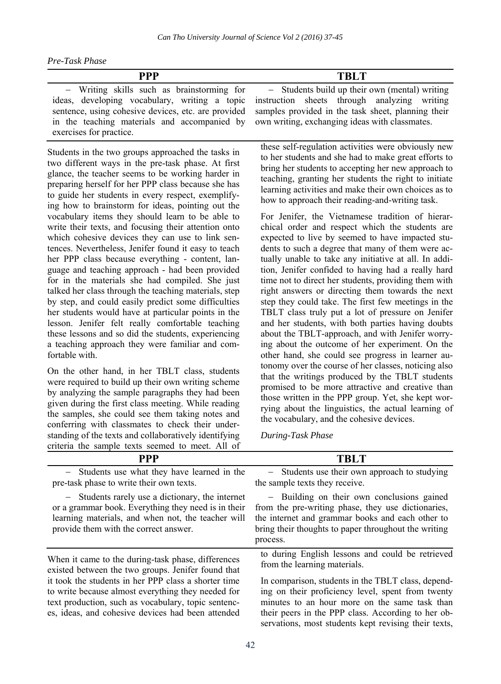| Pre-Task Phase |  |
|----------------|--|
|----------------|--|

| <b>PPP</b>                                                                                                                                                                                                                                                                                                                                                                                                                                                                                                                                                                                                                                                                                                                                                                                                                                                                                                                                                                                                                                                               | <b>TBLT</b>                                                                                                                                                                                                                                                                                                                                                                                                                                                                                                                                                                                                                                                                                                                                                                                                                                                                                                                                                                                                                                               |
|--------------------------------------------------------------------------------------------------------------------------------------------------------------------------------------------------------------------------------------------------------------------------------------------------------------------------------------------------------------------------------------------------------------------------------------------------------------------------------------------------------------------------------------------------------------------------------------------------------------------------------------------------------------------------------------------------------------------------------------------------------------------------------------------------------------------------------------------------------------------------------------------------------------------------------------------------------------------------------------------------------------------------------------------------------------------------|-----------------------------------------------------------------------------------------------------------------------------------------------------------------------------------------------------------------------------------------------------------------------------------------------------------------------------------------------------------------------------------------------------------------------------------------------------------------------------------------------------------------------------------------------------------------------------------------------------------------------------------------------------------------------------------------------------------------------------------------------------------------------------------------------------------------------------------------------------------------------------------------------------------------------------------------------------------------------------------------------------------------------------------------------------------|
| - Writing skills such as brainstorming for<br>ideas, developing vocabulary, writing a topic<br>sentence, using cohesive devices, etc. are provided<br>in the teaching materials and accompanied by<br>exercises for practice.                                                                                                                                                                                                                                                                                                                                                                                                                                                                                                                                                                                                                                                                                                                                                                                                                                            | - Students build up their own (mental) writing<br>instruction sheets through analyzing writing<br>samples provided in the task sheet, planning their<br>own writing, exchanging ideas with classmates.                                                                                                                                                                                                                                                                                                                                                                                                                                                                                                                                                                                                                                                                                                                                                                                                                                                    |
| Students in the two groups approached the tasks in<br>two different ways in the pre-task phase. At first<br>glance, the teacher seems to be working harder in<br>preparing herself for her PPP class because she has<br>to guide her students in every respect, exemplify-<br>ing how to brainstorm for ideas, pointing out the<br>vocabulary items they should learn to be able to<br>write their texts, and focusing their attention onto<br>which cohesive devices they can use to link sen-<br>tences. Nevertheless, Jenifer found it easy to teach<br>her PPP class because everything - content, lan-<br>guage and teaching approach - had been provided<br>for in the materials she had compiled. She just<br>talked her class through the teaching materials, step<br>by step, and could easily predict some difficulties<br>her students would have at particular points in the<br>lesson. Jenifer felt really comfortable teaching<br>these lessons and so did the students, experiencing<br>a teaching approach they were familiar and com-<br>fortable with. | these self-regulation activities were obviously new<br>to her students and she had to make great efforts to<br>bring her students to accepting her new approach to<br>teaching, granting her students the right to initiate<br>learning activities and make their own choices as to<br>how to approach their reading-and-writing task.<br>For Jenifer, the Vietnamese tradition of hierar-<br>chical order and respect which the students are<br>expected to live by seemed to have impacted stu-<br>dents to such a degree that many of them were ac-<br>tually unable to take any initiative at all. In addi-<br>tion, Jenifer confided to having had a really hard<br>time not to direct her students, providing them with<br>right answers or directing them towards the next<br>step they could take. The first few meetings in the<br>TBLT class truly put a lot of pressure on Jenifer<br>and her students, with both parties having doubts<br>about the TBLT-approach, and with Jenifer worry-<br>ing about the outcome of her experiment. On the |
| On the other hand, in her TBLT class, students<br>were required to build up their own writing scheme<br>by analyzing the sample paragraphs they had been<br>given during the first class meeting. While reading<br>the samples, she could see them taking notes and<br>conferring with classmates to check their under-<br>standing of the texts and collaboratively identifying<br>criteria the sample texts seemed to meet. All of                                                                                                                                                                                                                                                                                                                                                                                                                                                                                                                                                                                                                                     | other hand, she could see progress in learner au-<br>tonomy over the course of her classes, noticing also<br>that the writings produced by the TBLT students<br>promised to be more attractive and creative than<br>those written in the PPP group. Yet, she kept wor-<br>rying about the linguistics, the actual learning of<br>the vocabulary, and the cohesive devices.<br>During-Task Phase                                                                                                                                                                                                                                                                                                                                                                                                                                                                                                                                                                                                                                                           |
| <b>PPP</b>                                                                                                                                                                                                                                                                                                                                                                                                                                                                                                                                                                                                                                                                                                                                                                                                                                                                                                                                                                                                                                                               | <b>TBLT</b>                                                                                                                                                                                                                                                                                                                                                                                                                                                                                                                                                                                                                                                                                                                                                                                                                                                                                                                                                                                                                                               |
| Students use what they have learned in the<br>pre-task phase to write their own texts.<br>- Students rarely use a dictionary, the internet<br>or a grammar book. Everything they need is in their<br>learning materials, and when not, the teacher will<br>provide them with the correct answer.                                                                                                                                                                                                                                                                                                                                                                                                                                                                                                                                                                                                                                                                                                                                                                         | Students use their own approach to studying<br>the sample texts they receive.<br>- Building on their own conclusions gained<br>from the pre-writing phase, they use dictionaries,<br>the internet and grammar books and each other to<br>bring their thoughts to paper throughout the writing<br>process.                                                                                                                                                                                                                                                                                                                                                                                                                                                                                                                                                                                                                                                                                                                                                 |
| When it came to the during-task phase, differences<br>existed between the two groups. Jenifer found that<br>it took the students in her PPP class a shorter time<br>to write because almost everything they needed for<br>text production, such as vocabulary, topic sentenc-<br>es, ideas, and cohesive devices had been attended                                                                                                                                                                                                                                                                                                                                                                                                                                                                                                                                                                                                                                                                                                                                       | to during English lessons and could be retrieved<br>from the learning materials.<br>In comparison, students in the TBLT class, depend-<br>ing on their proficiency level, spent from twenty<br>minutes to an hour more on the same task than<br>their peers in the PPP class. According to her ob-<br>servations, most students kept revising their texts,                                                                                                                                                                                                                                                                                                                                                                                                                                                                                                                                                                                                                                                                                                |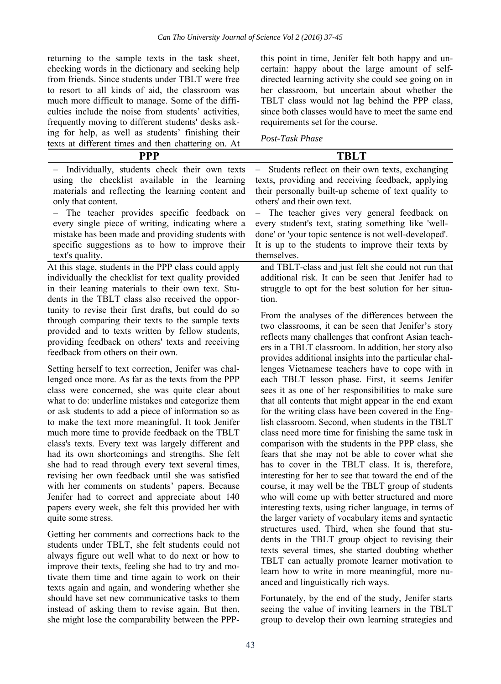returning to the sample texts in the task sheet, checking words in the dictionary and seeking help from friends. Since students under TBLT were free to resort to all kinds of aid, the classroom was much more difficult to manage. Some of the difficulties include the noise from students' activities, frequently moving to different students' desks asking for help, as well as students' finishing their texts at different times and then chattering on. At

texts again and again, and wondering whether she should have set new communicative tasks to them instead of asking them to revise again. But then, she might lose the comparability between the PPP-

this point in time, Jenifer felt both happy and uncertain: happy about the large amount of selfdirected learning activity she could see going on in her classroom, but uncertain about whether the TBLT class would not lag behind the PPP class, since both classes would have to meet the same end requirements set for the course.

*Post-Task Phase* 

| texts at unterent unles and their chattering on. At                                                                                                                                                                                                                                                                                                                                                                                                                                                                                                                                                                                                                                                                                                                                      |                                                                                                                                                                                                                                                                                                                                                                                                                                                                                                                                                                                                                                                                                                                                                                                                                                       |
|------------------------------------------------------------------------------------------------------------------------------------------------------------------------------------------------------------------------------------------------------------------------------------------------------------------------------------------------------------------------------------------------------------------------------------------------------------------------------------------------------------------------------------------------------------------------------------------------------------------------------------------------------------------------------------------------------------------------------------------------------------------------------------------|---------------------------------------------------------------------------------------------------------------------------------------------------------------------------------------------------------------------------------------------------------------------------------------------------------------------------------------------------------------------------------------------------------------------------------------------------------------------------------------------------------------------------------------------------------------------------------------------------------------------------------------------------------------------------------------------------------------------------------------------------------------------------------------------------------------------------------------|
| <b>PPP</b>                                                                                                                                                                                                                                                                                                                                                                                                                                                                                                                                                                                                                                                                                                                                                                               | <b>TBLT</b>                                                                                                                                                                                                                                                                                                                                                                                                                                                                                                                                                                                                                                                                                                                                                                                                                           |
| Individually, students check their own texts<br>using the checklist available in the learning<br>materials and reflecting the learning content and<br>only that content.<br>- The teacher provides specific feedback on<br>every single piece of writing, indicating where a<br>mistake has been made and providing students with<br>specific suggestions as to how to improve their                                                                                                                                                                                                                                                                                                                                                                                                     | Students reflect on their own texts, exchanging<br>$\qquad \qquad -$<br>texts, providing and receiving feedback, applying<br>their personally built-up scheme of text quality to<br>others' and their own text.<br>- The teacher gives very general feedback on<br>every student's text, stating something like 'well-<br>done' or 'your topic sentence is not well-developed'.<br>It is up to the students to improve their texts by                                                                                                                                                                                                                                                                                                                                                                                                 |
| text's quality.                                                                                                                                                                                                                                                                                                                                                                                                                                                                                                                                                                                                                                                                                                                                                                          | themselves.                                                                                                                                                                                                                                                                                                                                                                                                                                                                                                                                                                                                                                                                                                                                                                                                                           |
| At this stage, students in the PPP class could apply<br>individually the checklist for text quality provided<br>in their leaning materials to their own text. Stu-<br>dents in the TBLT class also received the oppor-                                                                                                                                                                                                                                                                                                                                                                                                                                                                                                                                                                   | and TBLT-class and just felt she could not run that<br>additional risk. It can be seen that Jenifer had to<br>struggle to opt for the best solution for her situa-<br>tion.                                                                                                                                                                                                                                                                                                                                                                                                                                                                                                                                                                                                                                                           |
| tunity to revise their first drafts, but could do so<br>through comparing their texts to the sample texts<br>provided and to texts written by fellow students,<br>providing feedback on others' texts and receiving<br>feedback from others on their own.                                                                                                                                                                                                                                                                                                                                                                                                                                                                                                                                | From the analyses of the differences between the<br>two classrooms, it can be seen that Jenifer's story<br>reflects many challenges that confront Asian teach-<br>ers in a TBLT classroom. In addition, her story also<br>provides additional insights into the particular chal-                                                                                                                                                                                                                                                                                                                                                                                                                                                                                                                                                      |
| Setting herself to text correction, Jenifer was chal-<br>lenged once more. As far as the texts from the PPP<br>class were concerned, she was quite clear about<br>what to do: underline mistakes and categorize them<br>or ask students to add a piece of information so as<br>to make the text more meaningful. It took Jenifer<br>much more time to provide feedback on the TBLT<br>class's texts. Every text was largely different and<br>had its own shortcomings and strengths. She felt<br>she had to read through every text several times,<br>revising her own feedback until she was satisfied<br>with her comments on students' papers. Because<br>Jenifer had to correct and appreciate about 140<br>papers every week, she felt this provided her with<br>quite some stress. | lenges Vietnamese teachers have to cope with in<br>each TBLT lesson phase. First, it seems Jenifer<br>sees it as one of her responsibilities to make sure<br>that all contents that might appear in the end exam<br>for the writing class have been covered in the Eng-<br>lish classroom. Second, when students in the TBLT<br>class need more time for finishing the same task in<br>comparison with the students in the PPP class, she<br>fears that she may not be able to cover what she<br>has to cover in the TBLT class. It is, therefore,<br>interesting for her to see that toward the end of the<br>course, it may well be the TBLT group of students<br>who will come up with better structured and more<br>interesting texts, using richer language, in terms of<br>the larger variety of vocabulary items and syntactic |
| Getting her comments and corrections back to the<br>students under TBLT, she felt students could not<br>always figure out well what to do next or how to<br>improve their texts, feeling she had to try and mo-<br>tivate them time and time again to work on their                                                                                                                                                                                                                                                                                                                                                                                                                                                                                                                      | structures used. Third, when she found that stu-<br>dents in the TBLT group object to revising their<br>texts several times, she started doubting whether<br>TBLT can actually promote learner motivation to<br>learn how to write in more meaningful, more nu-                                                                                                                                                                                                                                                                                                                                                                                                                                                                                                                                                                       |

Fortunately, by the end of the study, Jenifer starts seeing the value of inviting learners in the TBLT group to develop their own learning strategies and

anced and linguistically rich ways.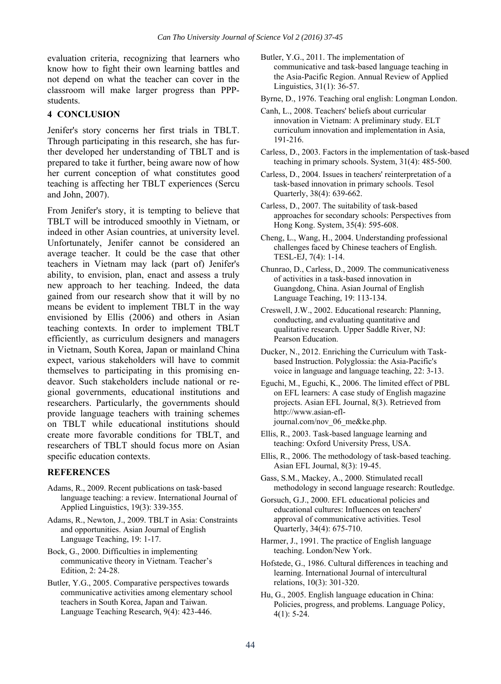evaluation criteria, recognizing that learners who know how to fight their own learning battles and not depend on what the teacher can cover in the classroom will make larger progress than PPPstudents.

#### **4 CONCLUSION**

Jenifer's story concerns her first trials in TBLT. Through participating in this research, she has further developed her understanding of TBLT and is prepared to take it further, being aware now of how her current conception of what constitutes good teaching is affecting her TBLT experiences (Sercu and John, 2007).

From Jenifer's story, it is tempting to believe that TBLT will be introduced smoothly in Vietnam, or indeed in other Asian countries, at university level. Unfortunately, Jenifer cannot be considered an average teacher. It could be the case that other teachers in Vietnam may lack (part of) Jenifer's ability, to envision, plan, enact and assess a truly new approach to her teaching. Indeed, the data gained from our research show that it will by no means be evident to implement TBLT in the way envisioned by Ellis (2006) and others in Asian teaching contexts. In order to implement TBLT efficiently, as curriculum designers and managers in Vietnam, South Korea, Japan or mainland China expect, various stakeholders will have to commit themselves to participating in this promising endeavor. Such stakeholders include national or regional governments, educational institutions and researchers. Particularly, the governments should provide language teachers with training schemes on TBLT while educational institutions should create more favorable conditions for TBLT, and researchers of TBLT should focus more on Asian specific education contexts.

#### **REFERENCES**

- Adams, R., 2009. Recent publications on task‐based language teaching: a review. International Journal of Applied Linguistics, 19(3): 339-355.
- Adams, R., Newton, J., 2009. TBLT in Asia: Constraints and opportunities. Asian Journal of English Language Teaching, 19: 1-17.
- Bock, G., 2000. Difficulties in implementing communicative theory in Vietnam. Teacher's Edition, 2: 24-28.
- Butler, Y.G., 2005. Comparative perspectives towards communicative activities among elementary school teachers in South Korea, Japan and Taiwan. Language Teaching Research, 9(4): 423-446.

Butler, Y.G., 2011. The implementation of communicative and task-based language teaching in the Asia-Pacific Region. Annual Review of Applied Linguistics, 31(1): 36-57.

Byrne, D., 1976. Teaching oral english: Longman London.

- Canh, L., 2008. Teachers' beliefs about curricular innovation in Vietnam: A preliminary study. ELT curriculum innovation and implementation in Asia, 191-216.
- Carless, D., 2003. Factors in the implementation of task-based teaching in primary schools. System, 31(4): 485-500.
- Carless, D., 2004. Issues in teachers' reinterpretation of a task‐based innovation in primary schools. Tesol Quarterly, 38(4): 639-662.
- Carless, D., 2007. The suitability of task-based approaches for secondary schools: Perspectives from Hong Kong. System, 35(4): 595-608.
- Cheng, L., Wang, H., 2004. Understanding professional challenges faced by Chinese teachers of English. TESL-EJ, 7(4): 1-14.
- Chunrao, D., Carless, D., 2009. The communicativeness of activities in a task-based innovation in Guangdong, China. Asian Journal of English Language Teaching, 19: 113-134.
- Creswell, J.W., 2002. Educational research: Planning, conducting, and evaluating quantitative and qualitative research. Upper Saddle River, NJ: Pearson Education.
- Ducker, N., 2012. Enriching the Curriculum with Taskbased Instruction. Polyglossia: the Asia-Pacific's voice in language and language teaching, 22: 3-13.
- Eguchi, M., Eguchi, K., 2006. The limited effect of PBL on EFL learners: A case study of English magazine projects. Asian EFL Journal, 8(3). Retrieved from http://www.asian-efljournal.com/nov\_06\_me&ke.php.
- Ellis, R., 2003. Task-based language learning and teaching: Oxford University Press, USA.
- Ellis, R., 2006. The methodology of task-based teaching. Asian EFL Journal, 8(3): 19-45.
- Gass, S.M., Mackey, A., 2000. Stimulated recall methodology in second language research: Routledge.
- Gorsuch, G.J., 2000. EFL educational policies and educational cultures: Influences on teachers' approval of communicative activities. Tesol Quarterly, 34(4): 675-710.
- Harmer, J., 1991. The practice of English language teaching. London/New York.
- Hofstede, G., 1986. Cultural differences in teaching and learning. International Journal of intercultural relations, 10(3): 301-320.
- Hu, G., 2005. English language education in China: Policies, progress, and problems. Language Policy, 4(1): 5-24.